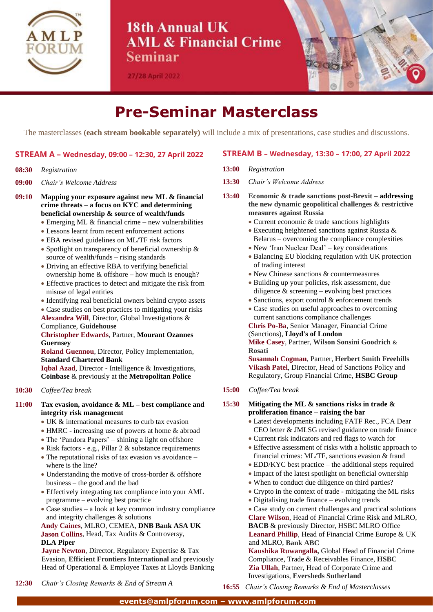

## 18th Annual UK **AML & Financial Crime** Seminar

27/28 April 2022



# **Pre-Seminar Masterclass**

The masterclasses **(each stream bookable separately)** will include a mix of presentations, case studies and discussions.

#### **STREAM A – Wednesday, 09:00 – 12:30, 27 April 2022**

#### **08:30** *Registration*

- **09:00** *Chair's Welcome Address*
- **09:10 Mapping your exposure against new ML & financial crime threats – a focus on KYC and determining beneficial ownership & source of wealth/funds** 
	- Emerging ML & financial crime new vulnerabilities
	- Lessons learnt from recent enforcement actions
	- EBA revised guidelines on ML/TF risk factors
	- Spotlight on transparency of beneficial ownership & source of wealth/funds – rising standards
	- Driving an effective RBA to verifying beneficial ownership home & offshore – how much is enough?
	- Effective practices to detect and mitigate the risk from misuse of legal entities
	- Identifying real beneficial owners behind crypto assets
	- Case studies on best practices to mitigating your risks **Alexandra Will**, Director, Global Investigations &

Compliance, **Guidehouse** 

#### **Christopher Edwards**, Partner, **Mourant Ozannes Guernsey**

**Roland Guennou**, Director, Policy Implementation, **Standard Chartered Bank**

**Iqbal Azad**, Director - Intelligence & Investigations, **Coinbase** & previously at the **Metropolitan Police**

#### **10:30** *Coffee/Tea break*

#### **11:00 Tax evasion, avoidance & ML – best compliance and integrity risk management**

- UK & international measures to curb tax evasion
- HMRC increasing use of powers at home & abroad
- The 'Pandora Papers' shining a light on offshore
- Risk factors e.g., Pillar 2 & substance requirements
- The reputational risks of tax evasion vs avoidance where is the line?
- Understanding the motive of cross-border & offshore business – the good and the bad
- Effectively integrating tax compliance into your AML programme – evolving best practice
- Case studies a look at key common industry compliance and integrity challenges & solutions

**Andy Caines**, MLRO, CEMEA, **DNB Bank ASA UK Jason Collins**, Head, Tax Audits & Controversy, **DLA Piper**

**Jayne Newton**, Director, Regulatory Expertise & Tax Evasion, **Efficient Frontiers International** and previously Head of Operational & Employee Taxes at Lloyds Banking

#### **STREAM B – Wednesday, 13:30 – 17:00, 27 April 2022**

- **13:00** *Registration*
- **13:30** *Chair's Welcome Address*
- **13:40 Economic & trade sanctions post-Brexit – addressing the new dynamic geopolitical challenges & restrictive measures against Russia**
	- Current economic & trade sanctions highlights
	- Executing heightened sanctions against Russia & Belarus – overcoming the compliance complexities
	- New 'Iran Nuclear Deal' key considerations
	- Balancing EU blocking regulation with UK protection of trading interest
	- New Chinese sanctions & countermeasures
	- Building up your policies, risk assessment, due diligence  $\&$  screening – evolving best practices
	- Sanctions, export control & enforcement trends
	- Case studies on useful approaches to overcoming current sanctions compliance challenges

**Chris Po-Ba**, Senior Manager, Financial Crime (Sanctions), **Lloyd's of London**

**Mike Casey**, Partner, **Wilson Sonsini Goodrich & Rosati**

**Susannah Cogman**, Partner, **Herbert Smith Freehills Vikash Patel**, Director, Head of Sanctions Policy and Regulatory, Group Financial Crime, **HSBC Group** 

**15:00** *Coffee/Tea break*

#### **15:30 Mitigating the ML & sanctions risks in trade & proliferation finance – raising the bar**

- Latest developments including FATF Rec., FCA Dear CEO letter & JMLSG revised guidance on trade finance
- Current risk indicators and red flags to watch for
- Effective assessment of risks with a holistic approach to financial crimes: ML/TF, sanctions evasion & fraud
- EDD/KYC best practice the additional steps required
- Impact of the latest spotlight on beneficial ownership
- When to conduct due diligence on third parties?
- Crypto in the context of trade mitigating the ML risks
- Digitalising trade finance evolving trends

• Case study on current challenges and practical solutions **Clare Wilson**, Head of Financial Crime Risk and MLRO, **BACB** & previously Director, HSBC MLRO Office **Leanard Phillip**, Head of Financial Crime Europe & UK and MLRO, **Bank ABC**

**Kaushika Ruwangalla,** Global Head of Financial Crime Compliance, Trade & Receivables Finance, **HSBC Zia Ullah**, Partner, Head of Corporate Crime and Investigations, **Eversheds Sutherland**

- **12:30** *Chair's Closing Remarks & End of Stream A*
- **16:55** *Chair's Closing Remarks & End of Masterclasses*